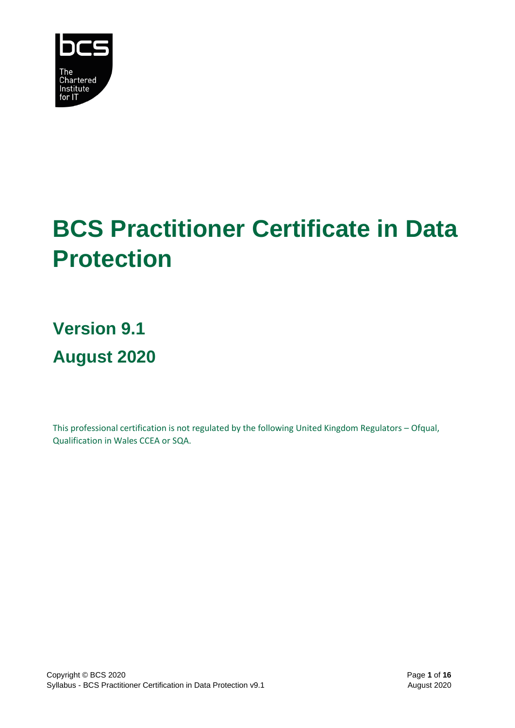

# **BCS Practitioner Certificate in Data Protection**

**Version 9.1 August 2020**

This professional certification is not regulated by the following United Kingdom Regulators – Ofqual, Qualification in Wales CCEA or SQA.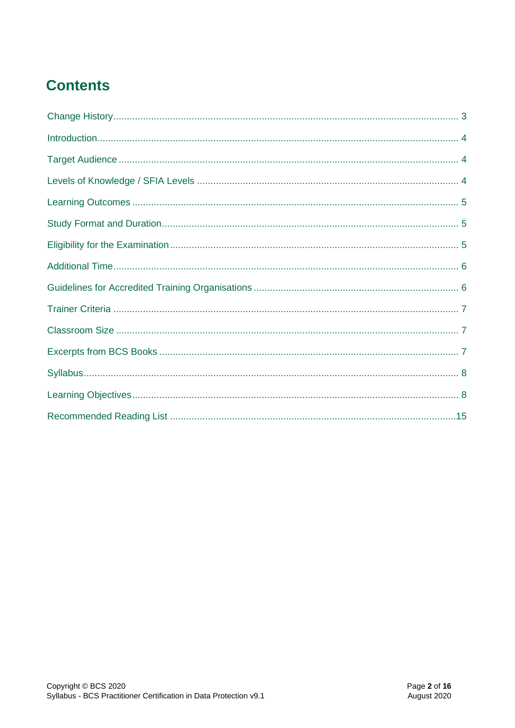# **Contents**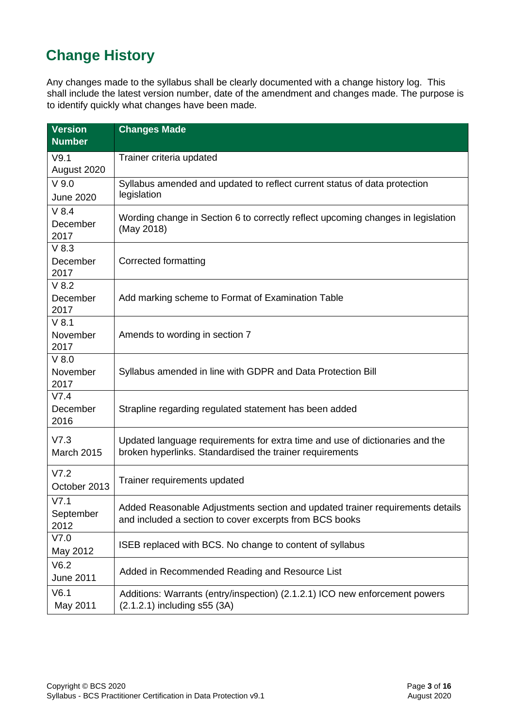# <span id="page-2-0"></span>**Change History**

Any changes made to the syllabus shall be clearly documented with a change history log. This shall include the latest version number, date of the amendment and changes made. The purpose is to identify quickly what changes have been made.

| <b>Version</b><br><b>Number</b> | <b>Changes Made</b>                                                                                                                      |  |
|---------------------------------|------------------------------------------------------------------------------------------------------------------------------------------|--|
| V9.1<br>August 2020             | Trainer criteria updated                                                                                                                 |  |
| $V$ 9.0<br><b>June 2020</b>     | Syllabus amended and updated to reflect current status of data protection<br>legislation                                                 |  |
| $V$ 8.4<br>December<br>2017     | Wording change in Section 6 to correctly reflect upcoming changes in legislation<br>(May 2018)                                           |  |
| $V$ 8.3<br>December<br>2017     | Corrected formatting                                                                                                                     |  |
| $V$ 8.2<br>December<br>2017     | Add marking scheme to Format of Examination Table                                                                                        |  |
| $V$ 8.1<br>November<br>2017     | Amends to wording in section 7                                                                                                           |  |
| $V$ 8.0<br>November<br>2017     | Syllabus amended in line with GDPR and Data Protection Bill                                                                              |  |
| V7.4<br>December<br>2016        | Strapline regarding regulated statement has been added                                                                                   |  |
| V7.3<br>March 2015              | Updated language requirements for extra time and use of dictionaries and the<br>broken hyperlinks. Standardised the trainer requirements |  |
| V7.2<br>October 2013            | Trainer requirements updated                                                                                                             |  |
| V7.1<br>September<br>2012       | Added Reasonable Adjustments section and updated trainer requirements details<br>and included a section to cover excerpts from BCS books |  |
| V7.0<br>May 2012                | ISEB replaced with BCS. No change to content of syllabus                                                                                 |  |
| V6.2<br><b>June 2011</b>        | Added in Recommended Reading and Resource List                                                                                           |  |
| V6.1<br>May 2011                | Additions: Warrants (entry/inspection) (2.1.2.1) ICO new enforcement powers<br>(2.1.2.1) including s55 (3A)                              |  |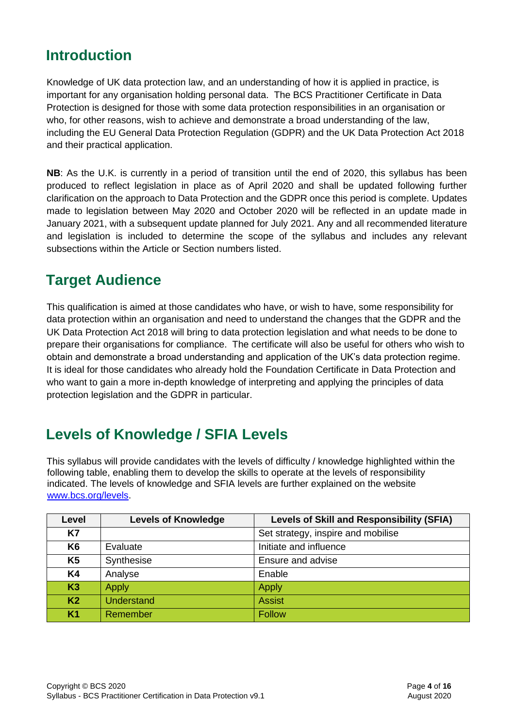# <span id="page-3-0"></span>**Introduction**

Knowledge of UK data protection law, and an understanding of how it is applied in practice, is important for any organisation holding personal data. The BCS Practitioner Certificate in Data Protection is designed for those with some data protection responsibilities in an organisation or who, for other reasons, wish to achieve and demonstrate a broad understanding of the law, including the EU General Data Protection Regulation (GDPR) and the UK Data Protection Act 2018 and their practical application.

**NB**: As the U.K. is currently in a period of transition until the end of 2020, this syllabus has been produced to reflect legislation in place as of April 2020 and shall be updated following further clarification on the approach to Data Protection and the GDPR once this period is complete. Updates made to legislation between May 2020 and October 2020 will be reflected in an update made in January 2021, with a subsequent update planned for July 2021. Any and all recommended literature and legislation is included to determine the scope of the syllabus and includes any relevant subsections within the Article or Section numbers listed.

### <span id="page-3-1"></span>**Target Audience**

This qualification is aimed at those candidates who have, or wish to have, some responsibility for data protection within an organisation and need to understand the changes that the GDPR and the UK Data Protection Act 2018 will bring to data protection legislation and what needs to be done to prepare their organisations for compliance. The certificate will also be useful for others who wish to obtain and demonstrate a broad understanding and application of the UK's data protection regime. It is ideal for those candidates who already hold the Foundation Certificate in Data Protection and who want to gain a more in-depth knowledge of interpreting and applying the principles of data protection legislation and the GDPR in particular.

# <span id="page-3-2"></span>**Levels of Knowledge / SFIA Levels**

This syllabus will provide candidates with the levels of difficulty / knowledge highlighted within the following table, enabling them to develop the skills to operate at the levels of responsibility indicated. The levels of knowledge and SFIA levels are further explained on the website [www.bcs.org/levels.](http://www.bcs.org/levels)

| Level          | <b>Levels of Knowledge</b> | <b>Levels of Skill and Responsibility (SFIA)</b> |
|----------------|----------------------------|--------------------------------------------------|
| K7             |                            | Set strategy, inspire and mobilise               |
| K <sub>6</sub> | Evaluate                   | Initiate and influence                           |
| K <sub>5</sub> | Synthesise                 | Ensure and advise                                |
| K4             | Analyse                    | Enable                                           |
| K3             | <b>Apply</b>               | <b>Apply</b>                                     |
| K <sub>2</sub> | <b>Understand</b>          | <b>Assist</b>                                    |
| K <sub>1</sub> | Remember                   | Follow                                           |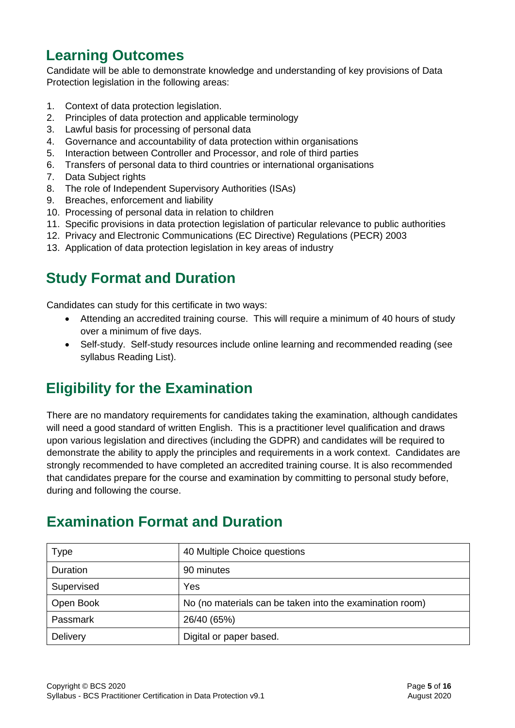# <span id="page-4-0"></span>**Learning Outcomes**

Candidate will be able to demonstrate knowledge and understanding of key provisions of Data Protection legislation in the following areas:

- 1. Context of data protection legislation.
- 2. Principles of data protection and applicable terminology
- 3. Lawful basis for processing of personal data
- 4. Governance and accountability of data protection within organisations
- 5. Interaction between Controller and Processor, and role of third parties
- 6. Transfers of personal data to third countries or international organisations
- 7. Data Subject rights
- 8. The role of Independent Supervisory Authorities (ISAs)
- 9. Breaches, enforcement and liability
- 10. Processing of personal data in relation to children
- 11. Specific provisions in data protection legislation of particular relevance to public authorities
- 12. Privacy and Electronic Communications (EC Directive) Regulations (PECR) 2003
- 13. Application of data protection legislation in key areas of industry

# <span id="page-4-1"></span>**Study Format and Duration**

Candidates can study for this certificate in two ways:

- Attending an accredited training course. This will require a minimum of 40 hours of study over a minimum of five days.
- Self-study. Self-study resources include online learning and recommended reading (see syllabus Reading List).

# <span id="page-4-2"></span>**Eligibility for the Examination**

There are no mandatory requirements for candidates taking the examination, although candidates will need a good standard of written English. This is a practitioner level qualification and draws upon various legislation and directives (including the GDPR) and candidates will be required to demonstrate the ability to apply the principles and requirements in a work context. Candidates are strongly recommended to have completed an accredited training course. It is also recommended that candidates prepare for the course and examination by committing to personal study before, during and following the course.

# **Examination Format and Duration**

| <b>Type</b> | 40 Multiple Choice questions                             |
|-------------|----------------------------------------------------------|
| Duration    | 90 minutes                                               |
| Supervised  | Yes                                                      |
| Open Book   | No (no materials can be taken into the examination room) |
| Passmark    | 26/40 (65%)                                              |
| Delivery    | Digital or paper based.                                  |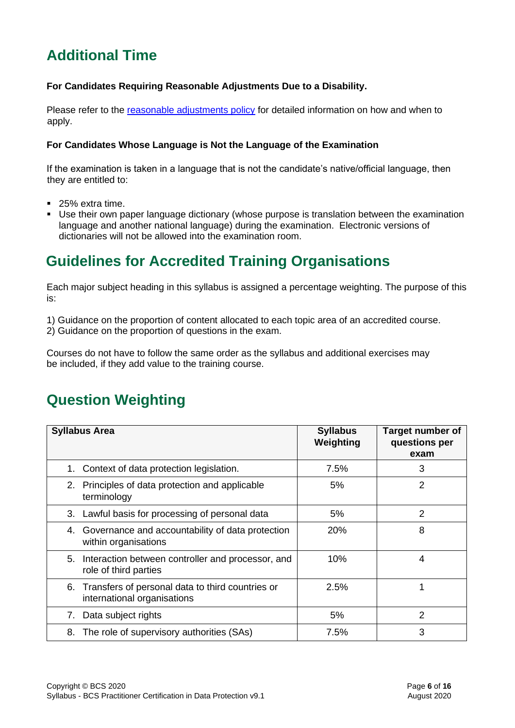# <span id="page-5-0"></span>**Additional Time**

### **For Candidates Requiring Reasonable Adjustments Due to a Disability.**

Please refer to the [reasonable adjustments policy](https://certifications.bcs.org/upload/pdf/reasonable-adjustments-policy_1.pdf) for detailed information on how and when to apply.

### **For Candidates Whose Language is Not the Language of the Examination**

If the examination is taken in a language that is not the candidate's native/official language, then they are entitled to:

- 25% extra time.
- Use their own paper language dictionary (whose purpose is translation between the examination language and another national language) during the examination. Electronic versions of dictionaries will not be allowed into the examination room.

# <span id="page-5-1"></span>**Guidelines for Accredited Training Organisations**

Each major subject heading in this syllabus is assigned a percentage weighting. The purpose of this is:

1) Guidance on the proportion of content allocated to each topic area of an accredited course.

2) Guidance on the proportion of questions in the exam.

Courses do not have to follow the same order as the syllabus and additional exercises may be included, if they add value to the training course.

# **Question Weighting**

| <b>Syllabus Area</b>                                                                  | <b>Syllabus</b><br>Weighting | <b>Target number of</b><br>questions per<br>exam |
|---------------------------------------------------------------------------------------|------------------------------|--------------------------------------------------|
| Context of data protection legislation.<br>1.                                         | 7.5%                         | 3                                                |
| 2. Principles of data protection and applicable<br>terminology                        | 5%                           | $\overline{2}$                                   |
| Lawful basis for processing of personal data<br>3.                                    | 5%                           | $\overline{2}$                                   |
| Governance and accountability of data protection<br>4.<br>within organisations        | <b>20%</b>                   | 8                                                |
| Interaction between controller and processor, and<br>5.<br>role of third parties      | 10%                          | 4                                                |
| Transfers of personal data to third countries or<br>6.<br>international organisations | 2.5%                         | 1                                                |
| Data subject rights<br>7.                                                             | 5%                           | 2                                                |
| The role of supervisory authorities (SAs)<br>8.                                       | 7.5%                         | 3                                                |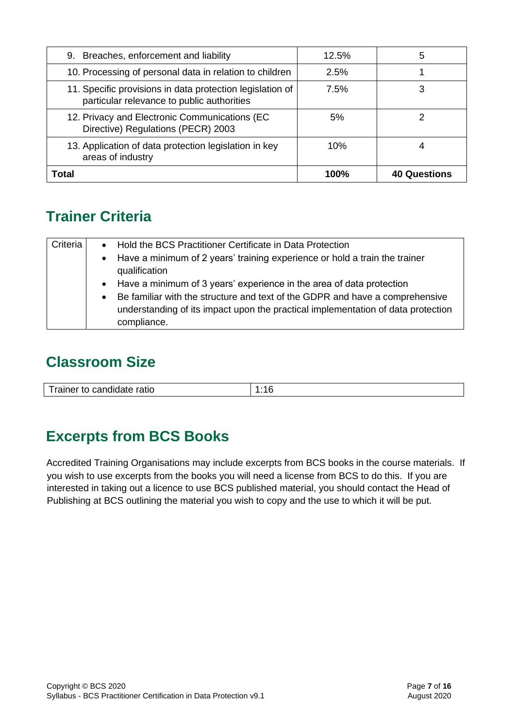| 9. Breaches, enforcement and liability                                                                  | 12.5%       | 5                   |
|---------------------------------------------------------------------------------------------------------|-------------|---------------------|
| 10. Processing of personal data in relation to children                                                 | 2.5%        |                     |
| 11. Specific provisions in data protection legislation of<br>particular relevance to public authorities | 7.5%        | 3                   |
| 12. Privacy and Electronic Communications (EC<br>Directive) Regulations (PECR) 2003                     | 5%          |                     |
| 13. Application of data protection legislation in key<br>areas of industry                              | 10%         |                     |
| Total                                                                                                   | <b>100%</b> | <b>40 Questions</b> |

# <span id="page-6-0"></span>**Trainer Criteria**

| Criteria | $\bullet$ | Hold the BCS Practitioner Certificate in Data Protection                                                                                                         |  |
|----------|-----------|------------------------------------------------------------------------------------------------------------------------------------------------------------------|--|
|          | $\bullet$ | Have a minimum of 2 years' training experience or hold a train the trainer                                                                                       |  |
|          |           | qualification                                                                                                                                                    |  |
|          |           | • Have a minimum of 3 years' experience in the area of data protection                                                                                           |  |
|          | $\bullet$ | Be familiar with the structure and text of the GDPR and have a comprehensive<br>understanding of its impact upon the practical implementation of data protection |  |
|          |           | compliance.                                                                                                                                                      |  |

# <span id="page-6-1"></span>**Classroom Size**

| Trainer to candidate ratio<br>____ |  |
|------------------------------------|--|

# <span id="page-6-2"></span>**Excerpts from BCS Books**

Accredited Training Organisations may include excerpts from BCS books in the course materials. If you wish to use excerpts from the books you will need a license from BCS to do this. If you are interested in taking out a licence to use BCS published material, you should contact the Head of Publishing at BCS outlining the material you wish to copy and the use to which it will be put.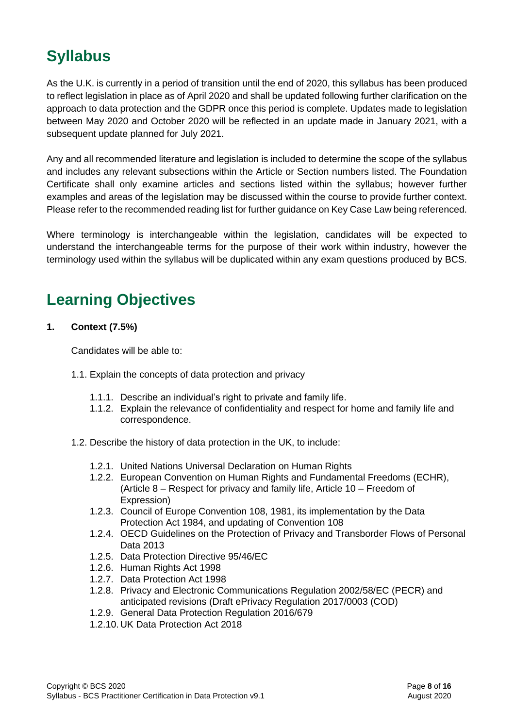# <span id="page-7-0"></span>**Syllabus**

As the U.K. is currently in a period of transition until the end of 2020, this syllabus has been produced to reflect legislation in place as of April 2020 and shall be updated following further clarification on the approach to data protection and the GDPR once this period is complete. Updates made to legislation between May 2020 and October 2020 will be reflected in an update made in January 2021, with a subsequent update planned for July 2021.

Any and all recommended literature and legislation is included to determine the scope of the syllabus and includes any relevant subsections within the Article or Section numbers listed. The Foundation Certificate shall only examine articles and sections listed within the syllabus; however further examples and areas of the legislation may be discussed within the course to provide further context. Please refer to the recommended reading list for further guidance on Key Case Law being referenced.

Where terminology is interchangeable within the legislation, candidates will be expected to understand the interchangeable terms for the purpose of their work within industry, however the terminology used within the syllabus will be duplicated within any exam questions produced by BCS.

# <span id="page-7-1"></span>**Learning Objectives**

**1. Context (7.5%)**

- 1.1. Explain the concepts of data protection and privacy
	- 1.1.1. Describe an individual's right to private and family life.
	- 1.1.2. Explain the relevance of confidentiality and respect for home and family life and correspondence.
- 1.2. Describe the history of data protection in the UK, to include:
	- 1.2.1. United Nations Universal Declaration on Human Rights
	- 1.2.2. European Convention on Human Rights and Fundamental Freedoms (ECHR), (Article 8 – Respect for privacy and family life, Article 10 – Freedom of Expression)
	- 1.2.3. Council of Europe Convention 108, 1981, its implementation by the Data Protection Act 1984, and updating of Convention 108
	- 1.2.4. OECD Guidelines on the Protection of Privacy and Transborder Flows of Personal Data 2013
	- 1.2.5. Data Protection Directive 95/46/EC
	- 1.2.6. Human Rights Act 1998
	- 1.2.7. Data Protection Act 1998
	- 1.2.8. Privacy and Electronic Communications Regulation 2002/58/EC (PECR) and anticipated revisions (Draft ePrivacy Regulation 2017/0003 (COD)
	- 1.2.9. General Data Protection Regulation 2016/679
	- 1.2.10. UK Data Protection Act 2018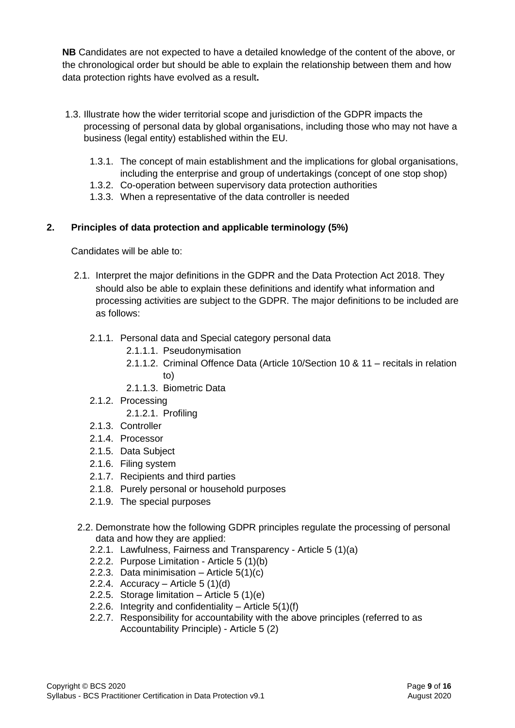**NB** Candidates are not expected to have a detailed knowledge of the content of the above, or the chronological order but should be able to explain the relationship between them and how data protection rights have evolved as a result**.**

- 1.3. Illustrate how the wider territorial scope and jurisdiction of the GDPR impacts the processing of personal data by global organisations, including those who may not have a business (legal entity) established within the EU.
	- 1.3.1. The concept of main establishment and the implications for global organisations,
	- including the enterprise and group of undertakings (concept of one stop shop) 1.3.2. Co-operation between supervisory data protection authorities
	- 1.3.3. When a representative of the data controller is needed

### **2. Principles of data protection and applicable terminology (5%)**

- 2.1. Interpret the major definitions in the GDPR and the Data Protection Act 2018. They should also be able to explain these definitions and identify what information and processing activities are subject to the GDPR. The major definitions to be included are as follows:
	- 2.1.1. Personal data and Special category personal data
		- 2.1.1.1. Pseudonymisation
		- 2.1.1.2. Criminal Offence Data (Article 10/Section 10 & 11 recitals in relation to)
		- 2.1.1.3. Biometric Data
	- 2.1.2. Processing
		- 2.1.2.1. Profiling
	- 2.1.3. Controller
	- 2.1.4. Processor
	- 2.1.5. Data Subject
	- 2.1.6. Filing system
	- 2.1.7. Recipients and third parties
	- 2.1.8. Purely personal or household purposes
	- 2.1.9. The special purposes
- 2.2. Demonstrate how the following GDPR principles regulate the processing of personal data and how they are applied:
	- 2.2.1. Lawfulness, Fairness and Transparency Article 5 (1)(a)
	- 2.2.2. Purpose Limitation Article 5 (1)(b)
	- 2.2.3. Data minimisation Article  $5(1)(c)$
	- 2.2.4. Accuracy Article  $5(1)(d)$
	- 2.2.5. Storage limitation Article 5 (1)(e)
	- 2.2.6. Integrity and confidentiality Article 5(1)(f)
	- 2.2.7. Responsibility for accountability with the above principles (referred to as Accountability Principle) - Article 5 (2)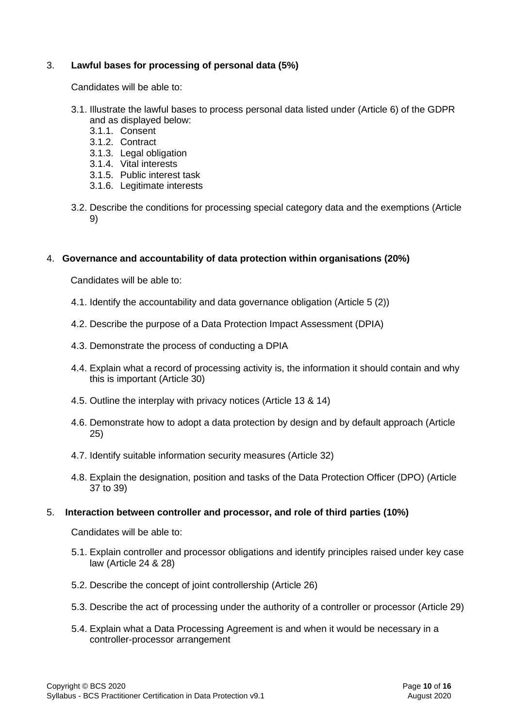### 3. **Lawful bases for processing of personal data (5%)**

Candidates will be able to:

- 3.1. Illustrate the lawful bases to process personal data listed under (Article 6) of the GDPR and as displayed below:
	- 3.1.1. Consent
	- 3.1.2. Contract
	- 3.1.3. Legal obligation
	- 3.1.4. Vital interests
	- 3.1.5. Public interest task
	- 3.1.6. Legitimate interests
- 3.2. Describe the conditions for processing special category data and the exemptions (Article 9)

### 4. **Governance and accountability of data protection within organisations (20%)**

Candidates will be able to:

- 4.1. Identify the accountability and data governance obligation (Article 5 (2))
- 4.2. Describe the purpose of a Data Protection Impact Assessment (DPIA)
- 4.3. Demonstrate the process of conducting a DPIA
- 4.4. Explain what a record of processing activity is, the information it should contain and why this is important (Article 30)
- 4.5. Outline the interplay with privacy notices (Article 13 & 14)
- 4.6. Demonstrate how to adopt a data protection by design and by default approach (Article 25)
- 4.7. Identify suitable information security measures (Article 32)
- 4.8. Explain the designation, position and tasks of the Data Protection Officer (DPO) (Article 37 to 39)

### 5. **Interaction between controller and processor, and role of third parties (10%)**

- 5.1. Explain controller and processor obligations and identify principles raised under key case law (Article 24 & 28)
- 5.2. Describe the concept of joint controllership (Article 26)
- 5.3. Describe the act of processing under the authority of a controller or processor (Article 29)
- 5.4. Explain what a Data Processing Agreement is and when it would be necessary in a controller-processor arrangement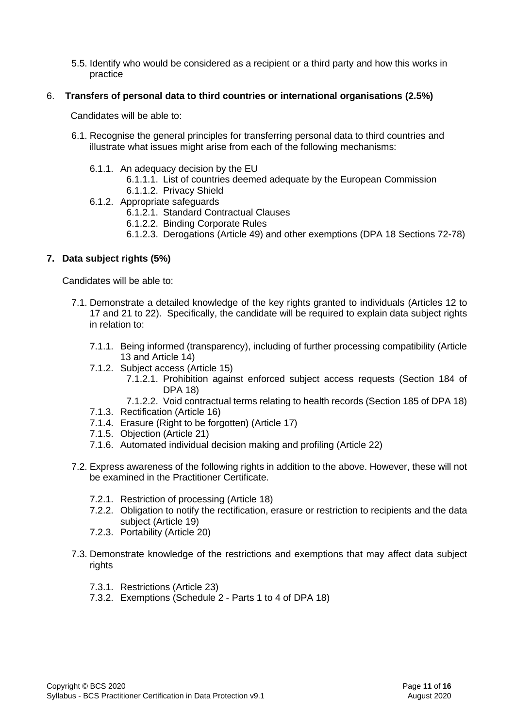5.5. Identify who would be considered as a recipient or a third party and how this works in practice

#### 6. **Transfers of personal data to third countries or international organisations (2.5%)**

Candidates will be able to:

- 6.1. Recognise the general principles for transferring personal data to third countries and illustrate what issues might arise from each of the following mechanisms:
	- 6.1.1. An adequacy decision by the EU
		- 6.1.1.1. List of countries deemed adequate by the European Commission
		- 6.1.1.2. Privacy Shield
	- 6.1.2. Appropriate safeguards
		- 6.1.2.1. Standard Contractual Clauses
		- 6.1.2.2. Binding Corporate Rules
		- 6.1.2.3. Derogations (Article 49) and other exemptions (DPA 18 Sections 72-78)

### **7. Data subject rights (5%)**

- 7.1. Demonstrate a detailed knowledge of the key rights granted to individuals (Articles 12 to 17 and 21 to 22). Specifically, the candidate will be required to explain data subject rights in relation to:
	- 7.1.1. Being informed (transparency), including of further processing compatibility (Article 13 and Article 14)
	- 7.1.2. Subject access (Article 15)
		- 7.1.2.1. Prohibition against enforced subject access requests (Section 184 of DPA 18)
		- 7.1.2.2. Void contractual terms relating to health records (Section 185 of DPA 18)
	- 7.1.3. Rectification (Article 16)
	- 7.1.4. Erasure (Right to be forgotten) (Article 17)
	- 7.1.5. Objection (Article 21)
	- 7.1.6. Automated individual decision making and profiling (Article 22)
- 7.2. Express awareness of the following rights in addition to the above. However, these will not be examined in the Practitioner Certificate.
	- 7.2.1. Restriction of processing (Article 18)
	- 7.2.2. Obligation to notify the rectification, erasure or restriction to recipients and the data subject (Article 19)
	- 7.2.3. Portability (Article 20)
- 7.3. Demonstrate knowledge of the restrictions and exemptions that may affect data subject rights
	- 7.3.1. Restrictions (Article 23)
	- 7.3.2. Exemptions (Schedule 2 Parts 1 to 4 of DPA 18)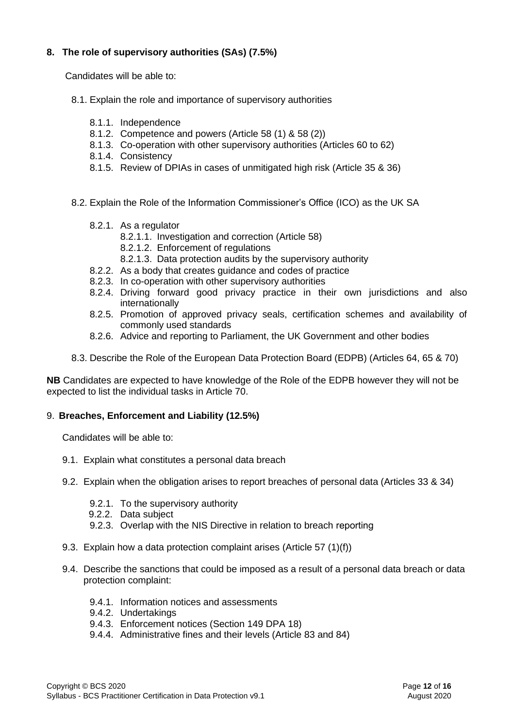### **8. The role of supervisory authorities (SAs) (7.5%)**

Candidates will be able to:

- 8.1. Explain the role and importance of supervisory authorities
	- 8.1.1. Independence
	- 8.1.2. Competence and powers (Article 58 (1) & 58 (2))
	- 8.1.3. Co-operation with other supervisory authorities (Articles 60 to 62)
	- 8.1.4. Consistency
	- 8.1.5. Review of DPIAs in cases of unmitigated high risk (Article 35 & 36)
- 8.2. Explain the Role of the Information Commissioner's Office (ICO) as the UK SA
	- 8.2.1. As a regulator
		- 8.2.1.1. Investigation and correction (Article 58)
		- 8.2.1.2. Enforcement of regulations
		- 8.2.1.3. Data protection audits by the supervisory authority
	- 8.2.2. As a body that creates guidance and codes of practice
	- 8.2.3. In co-operation with other supervisory authorities
	- 8.2.4. Driving forward good privacy practice in their own jurisdictions and also internationally
	- 8.2.5. Promotion of approved privacy seals, certification schemes and availability of commonly used standards
	- 8.2.6. Advice and reporting to Parliament, the UK Government and other bodies
- 8.3. Describe the Role of the European Data Protection Board (EDPB) (Articles 64, 65 & 70)

**NB** Candidates are expected to have knowledge of the Role of the EDPB however they will not be expected to list the individual tasks in Article 70.

#### 9. **Breaches, Enforcement and Liability (12.5%)**

- 9.1. Explain what constitutes a personal data breach
- 9.2. Explain when the obligation arises to report breaches of personal data (Articles 33 & 34)
	- 9.2.1. To the supervisory authority
	- 9.2.2. Data subject
	- 9.2.3. Overlap with the NIS Directive in relation to breach reporting
- 9.3. Explain how a data protection complaint arises (Article 57 (1)(f))
- 9.4. Describe the sanctions that could be imposed as a result of a personal data breach or data protection complaint:
	- 9.4.1. Information notices and assessments
	- 9.4.2. Undertakings
	- 9.4.3. Enforcement notices (Section 149 DPA 18)
	- 9.4.4. Administrative fines and their levels (Article 83 and 84)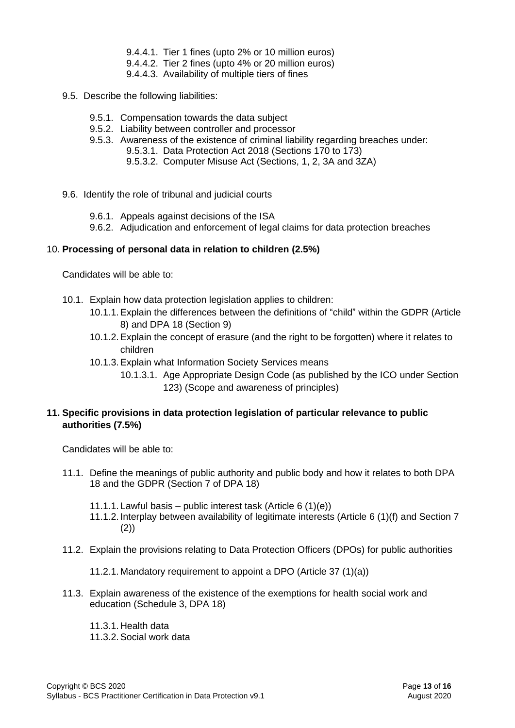- 9.4.4.1. Tier 1 fines (upto 2% or 10 million euros)
- 9.4.4.2. Tier 2 fines (upto 4% or 20 million euros)
- 9.4.4.3. Availability of multiple tiers of fines
- 9.5. Describe the following liabilities:
	- 9.5.1. Compensation towards the data subject
	- 9.5.2. Liability between controller and processor
	- 9.5.3. Awareness of the existence of criminal liability regarding breaches under:
		- 9.5.3.1. Data Protection Act 2018 (Sections 170 to 173)
		- 9.5.3.2. Computer Misuse Act (Sections, 1, 2, 3A and 3ZA)
- 9.6. Identify the role of tribunal and judicial courts
	- 9.6.1. Appeals against decisions of the ISA
	- 9.6.2. Adjudication and enforcement of legal claims for data protection breaches

### 10. **Processing of personal data in relation to children (2.5%)**

Candidates will be able to:

- 10.1. Explain how data protection legislation applies to children:
	- 10.1.1.Explain the differences between the definitions of "child" within the GDPR (Article 8) and DPA 18 (Section 9)
	- 10.1.2.Explain the concept of erasure (and the right to be forgotten) where it relates to children
	- 10.1.3.Explain what Information Society Services means
		- 10.1.3.1. Age Appropriate Design Code (as published by the ICO under Section 123) (Scope and awareness of principles)

### **11. Specific provisions in data protection legislation of particular relevance to public authorities (7.5%)**

Candidates will be able to:

- 11.1. Define the meanings of public authority and public body and how it relates to both DPA 18 and the GDPR (Section 7 of DPA 18)
	- 11.1.1. Lawful basis public interest task (Article 6 (1)(e))
	- 11.1.2. Interplay between availability of legitimate interests (Article 6 (1)(f) and Section 7 (2))
- 11.2. Explain the provisions relating to Data Protection Officers (DPOs) for public authorities
	- 11.2.1. Mandatory requirement to appoint a DPO (Article 37 (1)(a))
- 11.3. Explain awareness of the existence of the exemptions for health social work and education (Schedule 3, DPA 18)

11.3.1. Health data 11.3.2.Social work data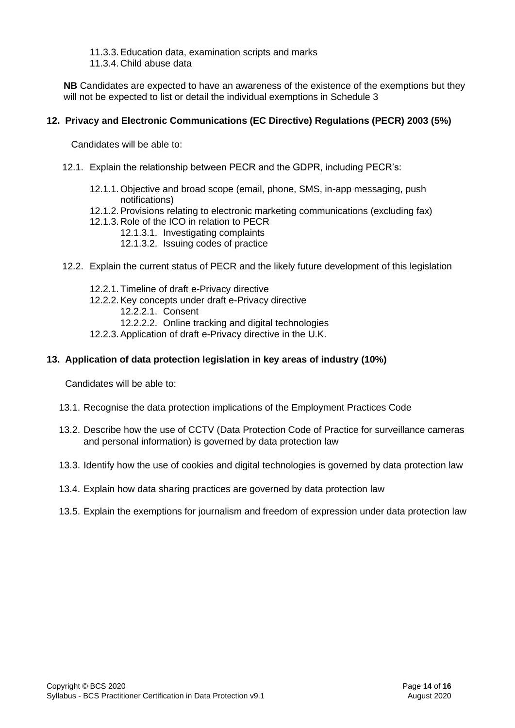11.3.3.Education data, examination scripts and marks

11.3.4. Child abuse data

**NB** Candidates are expected to have an awareness of the existence of the exemptions but they will not be expected to list or detail the individual exemptions in Schedule 3

### **12. Privacy and Electronic Communications (EC Directive) Regulations (PECR) 2003 (5%)**

Candidates will be able to:

- 12.1. Explain the relationship between PECR and the GDPR, including PECR's:
	- 12.1.1. Objective and broad scope (email, phone, SMS, in-app messaging, push notifications)
	- 12.1.2.Provisions relating to electronic marketing communications (excluding fax)
	- 12.1.3. Role of the ICO in relation to PECR
		- 12.1.3.1. Investigating complaints
			- 12.1.3.2. Issuing codes of practice
- 12.2. Explain the current status of PECR and the likely future development of this legislation
	- 12.2.1. Timeline of draft e-Privacy directive
	- 12.2.2.Key concepts under draft e-Privacy directive
		- 12.2.2.1. Consent
		- 12.2.2.2. Online tracking and digital technologies
	- 12.2.3.Application of draft e-Privacy directive in the U.K.

### **13. Application of data protection legislation in key areas of industry (10%)**

- 13.1. Recognise the data protection implications of the Employment Practices Code
- 13.2. Describe how the use of CCTV (Data Protection Code of Practice for surveillance cameras and personal information) is governed by data protection law
- 13.3. Identify how the use of cookies and digital technologies is governed by data protection law
- 13.4. Explain how data sharing practices are governed by data protection law
- 13.5. Explain the exemptions for journalism and freedom of expression under data protection law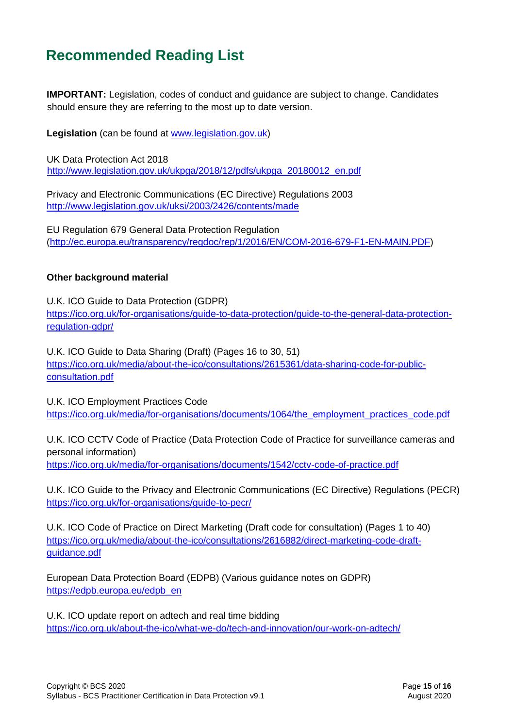# <span id="page-14-0"></span>**Recommended Reading List**

**IMPORTANT:** Legislation, codes of conduct and guidance are subject to change. Candidates should ensure they are referring to the most up to date version.

**Legislation** (can be found at [www.legislation.gov.uk\)](http://www.legislation.gov.uk/)

UK Data Protection Act 2018 [http://www.legislation.gov.uk/ukpga/2018/12/pdfs/ukpga\\_20180012\\_en.pdf](http://www.legislation.gov.uk/ukpga/2018/12/pdfs/ukpga_20180012_en.pdf)

Privacy and Electronic Communications (EC Directive) Regulations 2003 <http://www.legislation.gov.uk/uksi/2003/2426/contents/made>

EU Regulation 679 General Data Protection Regulation [\(http://ec.europa.eu/transparency/regdoc/rep/1/2016/EN/COM-2016-679-F1-EN-MAIN.PDF\)](http://ec.europa.eu/transparency/regdoc/rep/1/2016/EN/COM-2016-679-F1-EN-MAIN.PDF)

### **Other background material**

U.K. ICO Guide to Data Protection (GDPR) [https://ico.org.uk/for-organisations/guide-to-data-protection/guide-to-the-general-data-protection](https://ico.org.uk/for-organisations/guide-to-data-protection/guide-to-the-general-data-protection-regulation-gdpr/)[regulation-gdpr/](https://ico.org.uk/for-organisations/guide-to-data-protection/guide-to-the-general-data-protection-regulation-gdpr/)

U.K. ICO Guide to Data Sharing (Draft) (Pages 16 to 30, 51) [https://ico.org.uk/media/about-the-ico/consultations/2615361/data-sharing-code-for-public](https://ico.org.uk/media/about-the-ico/consultations/2615361/data-sharing-code-for-public-consultation.pdf)[consultation.pdf](https://ico.org.uk/media/about-the-ico/consultations/2615361/data-sharing-code-for-public-consultation.pdf)

U.K. ICO Employment Practices Code https://ico.org.uk/media/for-organisations/documents/1064/the\_employment\_practices\_code.pdf

U.K. ICO CCTV Code of Practice (Data Protection Code of Practice for surveillance cameras and personal information) <https://ico.org.uk/media/for-organisations/documents/1542/cctv-code-of-practice.pdf>

U.K. ICO Guide to the Privacy and Electronic Communications (EC Directive) Regulations (PECR) <https://ico.org.uk/for-organisations/guide-to-pecr/>

U.K. ICO Code of Practice on Direct Marketing (Draft code for consultation) (Pages 1 to 40) [https://ico.org.uk/media/about-the-ico/consultations/2616882/direct-marketing-code-draft](https://ico.org.uk/media/about-the-ico/consultations/2616882/direct-marketing-code-draft-guidance.pdf)[guidance.pdf](https://ico.org.uk/media/about-the-ico/consultations/2616882/direct-marketing-code-draft-guidance.pdf)

European Data Protection Board (EDPB) (Various guidance notes on GDPR) [https://edpb.europa.eu/edpb\\_en](https://edpb.europa.eu/edpb_en)

U.K. ICO update report on adtech and real time bidding <https://ico.org.uk/about-the-ico/what-we-do/tech-and-innovation/our-work-on-adtech/>